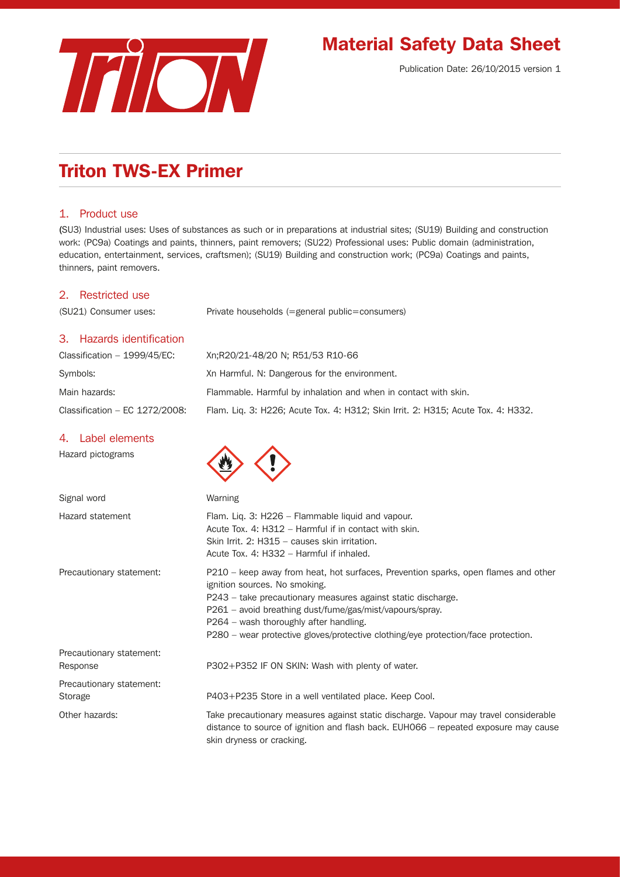

# Material Safety Data Sheet

Publication Date: 26/10/2015 version 1

# Triton TWS-EX Primer

# 1. Product use

(SU3) Industrial uses: Uses of substances as such or in preparations at industrial sites; (SU19) Building and construction work: (PC9a) Coatings and paints, thinners, paint removers; (SU22) Professional uses: Public domain (administration, education, entertainment, services, craftsmen); (SU19) Building and construction work; (PC9a) Coatings and paints, thinners, paint removers.

## 2. Restricted use

(SU21) Consumer uses: Private households (=general public=consumers)

## 3. Hazards identification

| Classification $-$ 1999/45/EC:   | Xn:R20/21-48/20 N: R51/53 R10-66                                                 |
|----------------------------------|----------------------------------------------------------------------------------|
| Symbols:                         | Xn Harmful. N: Dangerous for the environment.                                    |
| Main hazards:                    | Flammable. Harmful by inhalation and when in contact with skin.                  |
| Classification $-$ EC 1272/2008: | Flam. Lig. 3: H226; Acute Tox. 4: H312; Skin Irrit. 2: H315; Acute Tox. 4: H332. |

#### 4. Label elements

Hazard pictograms

| Signal word                          | Warning                                                                                                                                                                                                                                                                                                                                                                        |
|--------------------------------------|--------------------------------------------------------------------------------------------------------------------------------------------------------------------------------------------------------------------------------------------------------------------------------------------------------------------------------------------------------------------------------|
| Hazard statement                     | Flam. Lig. 3: H226 – Flammable liguid and vapour.<br>Acute Tox. 4: H312 - Harmful if in contact with skin.<br>Skin Irrit, 2: H315 – causes skin irritation.<br>Acute Tox, 4: H332 - Harmful if inhaled.                                                                                                                                                                        |
| Precautionary statement:             | P210 – keep away from heat, hot surfaces, Prevention sparks, open flames and other<br>ignition sources. No smoking.<br>P243 – take precautionary measures against static discharge.<br>P261 – avoid breathing dust/fume/gas/mist/vapours/spray.<br>P264 - wash thoroughly after handling.<br>P280 – wear protective gloves/protective clothing/eye protection/face protection. |
| Precautionary statement:<br>Response | P302+P352 IF ON SKIN: Wash with plenty of water.                                                                                                                                                                                                                                                                                                                               |
| Precautionary statement:<br>Storage  | P403+P235 Store in a well ventilated place. Keep Cool.                                                                                                                                                                                                                                                                                                                         |
| Other hazards:                       | Take precautionary measures against static discharge. Vapour may travel considerable<br>distance to source of ignition and flash back. EUH066 – repeated exposure may cause<br>skin dryness or cracking.                                                                                                                                                                       |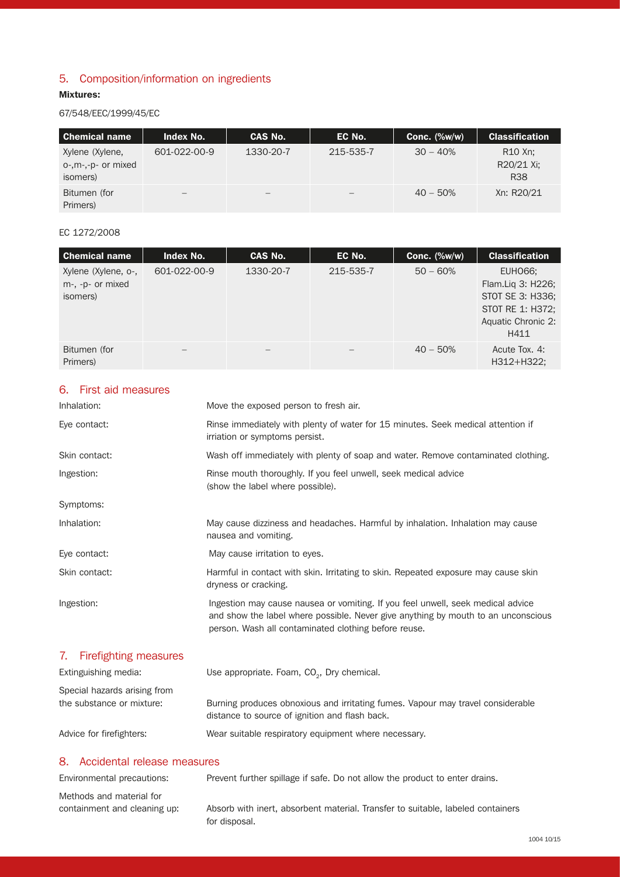# 5. Composition/information on ingredients

### Mixtures:

# 67/548/EEC/1999/45/EC

| <b>Chemical name</b>                              | Index No.         | CAS No.   | EC No.    | Conc. $(\%w/w)$ | <b>Classification</b>                           |
|---------------------------------------------------|-------------------|-----------|-----------|-----------------|-------------------------------------------------|
| Xylene (Xylene,<br>o-,m-,-p- or mixed<br>isomers) | 601-022-00-9      | 1330-20-7 | 215-535-7 | $30 - 40%$      | R <sub>10</sub> Xn;<br>R20/21 Xi;<br><b>R38</b> |
| Bitumen (for<br>Primers)                          | $\qquad \qquad -$ |           |           | $40 - 50%$      | Xn: R20/21                                      |

# EC 1272/2008

| <b>Chemical name</b>                                | <b>Index No.</b> | CAS No.   | EC No.    | Conc. $(\%w/w)$ | <b>Classification</b>                                                                              |
|-----------------------------------------------------|------------------|-----------|-----------|-----------------|----------------------------------------------------------------------------------------------------|
| Xylene (Xylene, o-,<br>m-, -p- or mixed<br>isomers) | 601-022-00-9     | 1330-20-7 | 215-535-7 | $50 - 60%$      | EUH066;<br>Flam.Liq 3: H226;<br>STOT SE 3: H336;<br>STOT RE 1: H372;<br>Aquatic Chronic 2:<br>H411 |
| Bitumen (for<br>Primers)                            |                  | —         |           | $40 - 50%$      | Acute Tox, 4:<br>H312+H322;                                                                        |

## 6. First aid measures

| Inhalation:                                               | Move the exposed person to fresh air.                                                                                                                                                                                        |
|-----------------------------------------------------------|------------------------------------------------------------------------------------------------------------------------------------------------------------------------------------------------------------------------------|
| Eye contact:                                              | Rinse immediately with plenty of water for 15 minutes. Seek medical attention if<br>irriation or symptoms persist.                                                                                                           |
| Skin contact:                                             | Wash off immediately with plenty of soap and water. Remove contaminated clothing.                                                                                                                                            |
| Ingestion:                                                | Rinse mouth thoroughly. If you feel unwell, seek medical advice<br>(show the label where possible).                                                                                                                          |
| Symptoms:                                                 |                                                                                                                                                                                                                              |
| Inhalation:                                               | May cause dizziness and headaches. Harmful by inhalation. Inhalation may cause<br>nausea and vomiting.                                                                                                                       |
| Eye contact:                                              | May cause irritation to eyes.                                                                                                                                                                                                |
| Skin contact:                                             | Harmful in contact with skin. Irritating to skin. Repeated exposure may cause skin<br>dryness or cracking.                                                                                                                   |
| Ingestion:                                                | Ingestion may cause nausea or vomiting. If you feel unwell, seek medical advice<br>and show the label where possible. Never give anything by mouth to an unconscious<br>person. Wash all contaminated clothing before reuse. |
| <b>Firefighting measures</b><br>7.                        |                                                                                                                                                                                                                              |
| Extinguishing media:                                      | Use appropriate. Foam, CO <sub>2</sub> , Dry chemical.                                                                                                                                                                       |
| Special hazards arising from<br>the substance or mixture: | Burning produces obnoxious and irritating fumes. Vapour may travel considerable                                                                                                                                              |

Advice for firefighters: Wear suitable respiratory equipment where necessary.

distance to source of ignition and flash back.

# 8. Accidental release measures

Methods and material for

Environmental precautions: Prevent further spillage if safe. Do not allow the product to enter drains.

containment and cleaning up: Absorb with inert, absorbent material. Transfer to suitable, labeled containers for disposal.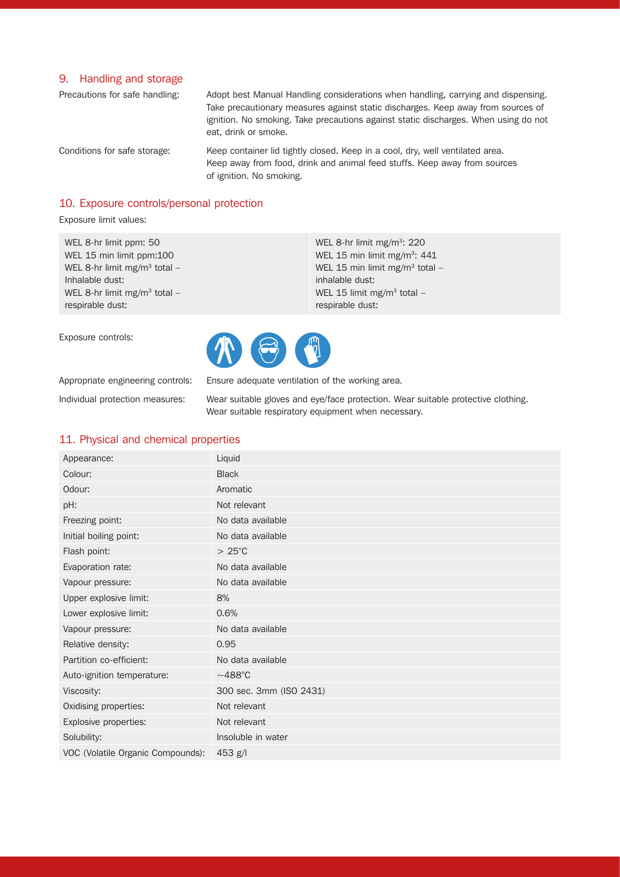#### 9. Handling and storage

Precautions for safe handling: Adopt best Manual Handling considerations when handling, carrying and dispensing. Take precautionary measures against static discharges. Keep away from sources of ignition. No smoking. Take precautions against static discharges. When using do not eat, drink or smoke.

Conditions for safe storage: Keep container lid tightly closed. Keep in a cool, dry, well ventilated area. Keep away from food, drink and animal feed stuffs. Keep away from sources of ignition. No smoking.

> WEL 8-hr limit mg/m<sup>3</sup>: 220 WEL 15 min limit mg/m<sup>3</sup>: 441 WEL 15 min limit mg/m<sup>3</sup> total -

WEL 15 limit mg/m<sup>3</sup> total  $-$ 

#### 10. Exposure controls/personal protection

Exposure limit values:

WEL 8-hr limit ppm: 50 WEL 15 min limit ppm:100 WEL 8-hr limit mg/m<sup>3</sup> total -Inhalable dust: WEL 8-hr limit mg/m<sup>3</sup> total  $$ respirable dust:

Exposure controls:

respirable dust:

inhalable dust:

Appropriate engineering controls: Ensure adequate ventilation of the working area.

Individual protection measures: Wear suitable gloves and eye/face protection. Wear suitable protective clothing. Wear suitable respiratory equipment when necessary.

# 11. Physical and chemical properties

| Appearance:                       | Liquid                  |
|-----------------------------------|-------------------------|
| Colour:                           | <b>Black</b>            |
| Odour:                            | Aromatic                |
| pH:                               | Not relevant            |
| Freezing point:                   | No data available       |
| Initial boiling point:            | No data available       |
| Flash point:                      | $>25^{\circ}$ C         |
| Evaporation rate:                 | No data available       |
| Vapour pressure:                  | No data available       |
| Upper explosive limit:            | 8%                      |
| Lower explosive limit:            | 0.6%                    |
| Vapour pressure:                  | No data available       |
| Relative density:                 | 0.95                    |
| Partition co-efficient:           | No data available       |
| Auto-ignition temperature:        | $~1488^{\circ}$ C       |
| Viscosity:                        | 300 sec. 3mm (ISO 2431) |
| Oxidising properties:             | Not relevant            |
| Explosive properties:             | Not relevant            |
| Solubility:                       | Insoluble in water      |
| VOC (Volatile Organic Compounds): | 453 g/l                 |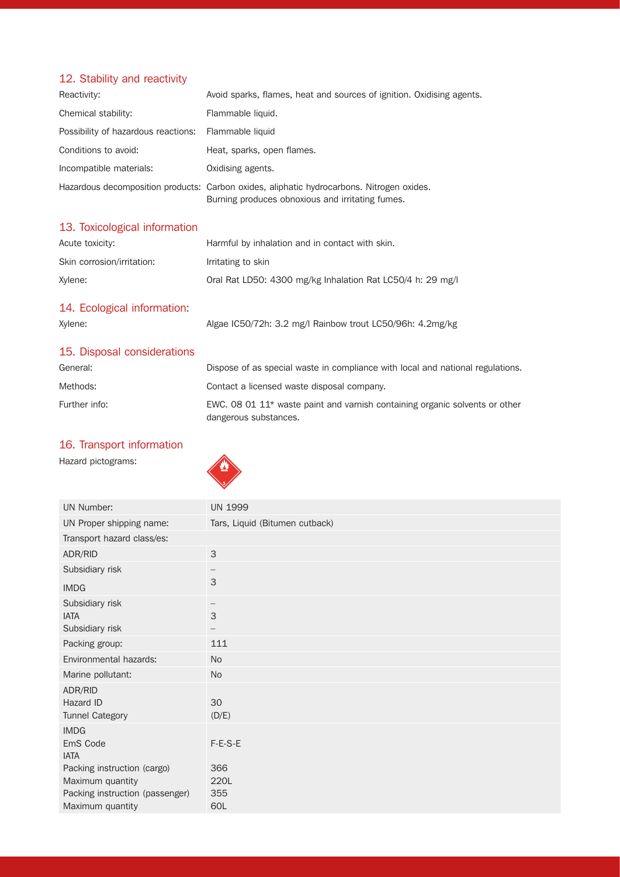# 12. Stability and reactivity

| Reactivity:                                          | Avoid sparks, flames, heat and sources of ignition. Oxidising agents.                                                                         |
|------------------------------------------------------|-----------------------------------------------------------------------------------------------------------------------------------------------|
| Chemical stability:                                  | Flammable liquid.                                                                                                                             |
| Possibility of hazardous reactions: Flammable liquid |                                                                                                                                               |
| Conditions to avoid:                                 | Heat, sparks, open flames.                                                                                                                    |
| Incompatible materials:                              | Oxidising agents.                                                                                                                             |
|                                                      | Hazardous decomposition products: Carbon oxides, aliphatic hydrocarbons. Nitrogen oxides.<br>Burning produces obnoxious and irritating fumes. |

# 13. Toxicological information

| Acute toxicity:            | Harmful by inhalation and in contact with skin.           |
|----------------------------|-----------------------------------------------------------|
| Skin corrosion/irritation: | Irritating to skin                                        |
| Xvlene:                    | Oral Rat LD50: 4300 mg/kg Inhalation Rat LC50/4 h: 29 mg/ |

# 14. Ecological information:

| Xylene: | Algae IC50/72h: 3.2 mg/l Rainbow trout LC50/96h: 4.2mg/kg |
|---------|-----------------------------------------------------------|
|         |                                                           |

# 15. Disposal considerations

| General:      | Dispose of as special waste in compliance with local and national regulations.                         |
|---------------|--------------------------------------------------------------------------------------------------------|
| Methods:      | Contact a licensed waste disposal company.                                                             |
| Further info: | EWC, 08 01 $11*$ waste paint and varnish containing organic solvents or other<br>dangerous substances. |

# 16. Transport information





| <b>UN 1999</b>                       |
|--------------------------------------|
| Tars, Liquid (Bitumen cutback)       |
|                                      |
| 3                                    |
|                                      |
| $\mathcal{S}$                        |
| $\mathcal{S}$                        |
| 111                                  |
| <b>No</b>                            |
| <b>No</b>                            |
| 30<br>(D/E)                          |
| F-E-S-E<br>366<br>220L<br>355<br>60L |
|                                      |